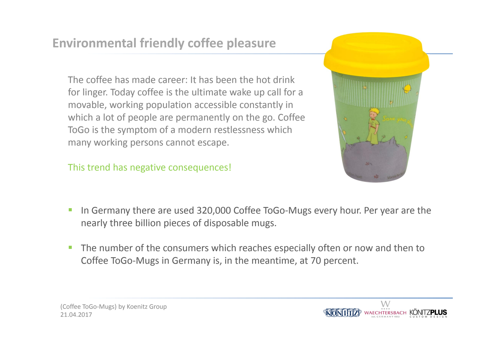## **Environmental friendly coffee pleasure**

The coffee has made career: It has been the hot drink for linger. Today coffee is the ultimate wake up call for <sup>a</sup> movable, working population accessible constantly in which <sup>a</sup> lot of people are permanently on the go. Coffee ToGo is the symptom of <sup>a</sup> modern restlessness which many working persons cannot escape.

This trend has negative consequences!



- $\mathcal{C}$ ■ In Germany there are used 320,000 Coffee ToGo-Mugs every hour. Per year are the nearly three billion pieces of disposable mugs.
- $\mathcal{C}$ **The number of the consumers which reaches especially often or now and then to** Coffee ToGo‐Mugs in Germany is, in the meantime, at 70 percent.

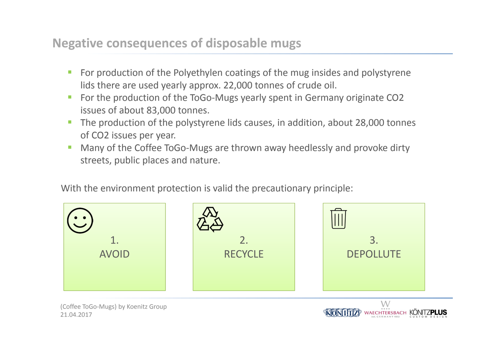## **Negative consequences of disposable mugs**

- $\mathcal{L}$  For production of the Polyethylen coatings of the mug insides and polystyrene lids there are used yearly approx. 22,000 tonnes of crude oil.
- For the production of the ToGo-Mugs yearly spent in Germany originate CO2 issues of about 83,000 tonnes.
- **The production of the polystyrene lids causes, in addition, about 28,000 tonnes** of CO2 issues per year.
- Many of the Coffee ToGo‐Mugs are thrown away heedlessly and provoke dirty streets, public places and nature.

With the environment protection is valid the precautionary principle:



WAECHTERSBACH KÖNITZPLUS

21.04.2017 (Coffee ToGo‐Mugs) by Koenitz Group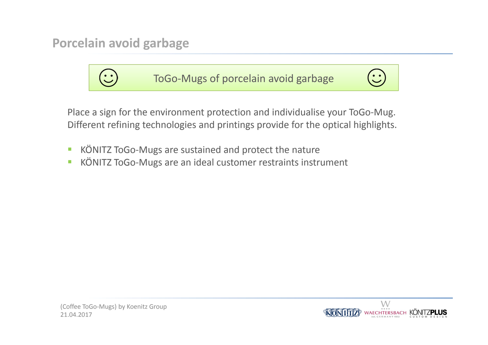**Porcelain avoid garbage**



Place <sup>a</sup> sign for the environment protection and individualise your ToGo‐Mug. Different refining technologies and printings provide for the optical highlights.

- $\mathcal{L}_{\mathcal{A}}$ ■ KÖNITZ ToGo-Mugs are sustained and protect the nature
- $\mathcal{L}_{\mathcal{A}}$ ■ KÖNITZ ToGo-Mugs are an ideal customer restraints instrument

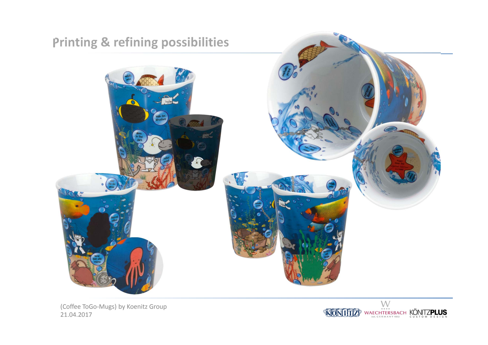

21.04.2017 (Coffee ToGo‐Mugs) by Koenitz Group

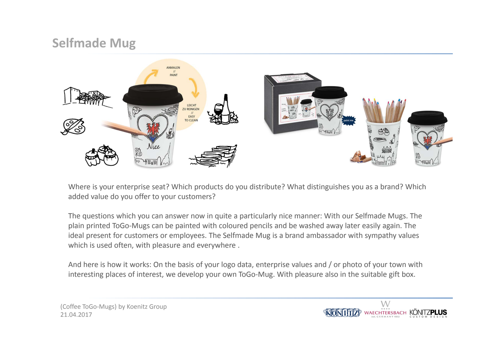## **Selfmade Mug**



Where is your enterprise seat? Which products do you distribute? What distinguishes you as <sup>a</sup> brand? Which added value do you offer to your customers?

The questions which you can answer now in quite <sup>a</sup> particularly nice manner: With our Selfmade Mugs. The plain printed ToGo‐Mugs can be painted with coloured pencils and be washed away later easily again. The ideal present for customers or employees. The Selfmade Mug is <sup>a</sup> brand ambassador with sympathy values which is used often, with pleasure and everywhere .

And here is how it works: On the basis of your logo data, enterprise values and / or photo of your town with interesting places of interest, we develop your own ToGo-Mug. With pleasure also in the suitable gift box.